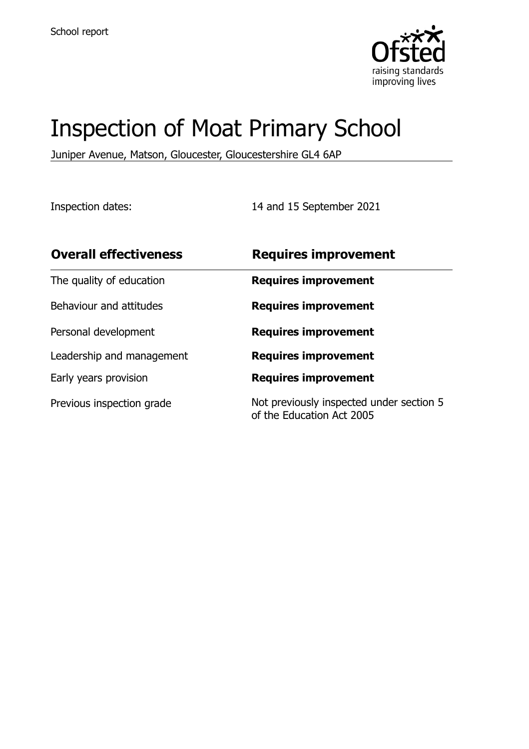

# Inspection of Moat Primary School

Juniper Avenue, Matson, Gloucester, Gloucestershire GL4 6AP

Inspection dates: 14 and 15 September 2021

| <b>Overall effectiveness</b> | <b>Requires improvement</b>                                           |
|------------------------------|-----------------------------------------------------------------------|
| The quality of education     | <b>Requires improvement</b>                                           |
| Behaviour and attitudes      | <b>Requires improvement</b>                                           |
| Personal development         | <b>Requires improvement</b>                                           |
| Leadership and management    | <b>Requires improvement</b>                                           |
| Early years provision        | <b>Requires improvement</b>                                           |
| Previous inspection grade    | Not previously inspected under section 5<br>of the Education Act 2005 |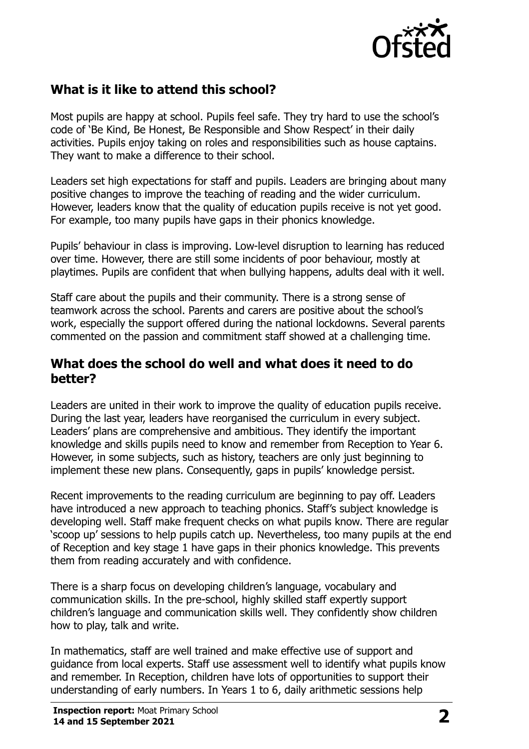

# **What is it like to attend this school?**

Most pupils are happy at school. Pupils feel safe. They try hard to use the school's code of 'Be Kind, Be Honest, Be Responsible and Show Respect' in their daily activities. Pupils enjoy taking on roles and responsibilities such as house captains. They want to make a difference to their school.

Leaders set high expectations for staff and pupils. Leaders are bringing about many positive changes to improve the teaching of reading and the wider curriculum. However, leaders know that the quality of education pupils receive is not yet good. For example, too many pupils have gaps in their phonics knowledge.

Pupils' behaviour in class is improving. Low-level disruption to learning has reduced over time. However, there are still some incidents of poor behaviour, mostly at playtimes. Pupils are confident that when bullying happens, adults deal with it well.

Staff care about the pupils and their community. There is a strong sense of teamwork across the school. Parents and carers are positive about the school's work, especially the support offered during the national lockdowns. Several parents commented on the passion and commitment staff showed at a challenging time.

#### **What does the school do well and what does it need to do better?**

Leaders are united in their work to improve the quality of education pupils receive. During the last year, leaders have reorganised the curriculum in every subject. Leaders' plans are comprehensive and ambitious. They identify the important knowledge and skills pupils need to know and remember from Reception to Year 6. However, in some subjects, such as history, teachers are only just beginning to implement these new plans. Consequently, gaps in pupils' knowledge persist.

Recent improvements to the reading curriculum are beginning to pay off. Leaders have introduced a new approach to teaching phonics. Staff's subject knowledge is developing well. Staff make frequent checks on what pupils know. There are regular 'scoop up' sessions to help pupils catch up. Nevertheless, too many pupils at the end of Reception and key stage 1 have gaps in their phonics knowledge. This prevents them from reading accurately and with confidence.

There is a sharp focus on developing children's language, vocabulary and communication skills. In the pre-school, highly skilled staff expertly support children's language and communication skills well. They confidently show children how to play, talk and write.

In mathematics, staff are well trained and make effective use of support and guidance from local experts. Staff use assessment well to identify what pupils know and remember. In Reception, children have lots of opportunities to support their understanding of early numbers. In Years 1 to 6, daily arithmetic sessions help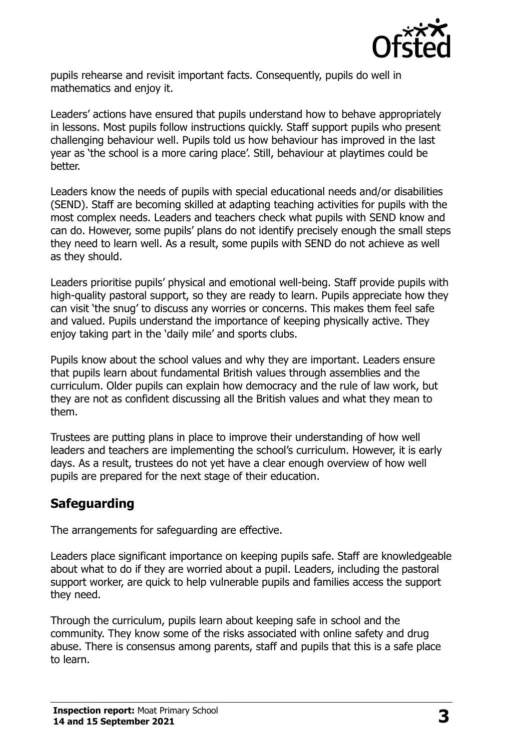

pupils rehearse and revisit important facts. Consequently, pupils do well in mathematics and enjoy it.

Leaders' actions have ensured that pupils understand how to behave appropriately in lessons. Most pupils follow instructions quickly. Staff support pupils who present challenging behaviour well. Pupils told us how behaviour has improved in the last year as 'the school is a more caring place'. Still, behaviour at playtimes could be better.

Leaders know the needs of pupils with special educational needs and/or disabilities (SEND). Staff are becoming skilled at adapting teaching activities for pupils with the most complex needs. Leaders and teachers check what pupils with SEND know and can do. However, some pupils' plans do not identify precisely enough the small steps they need to learn well. As a result, some pupils with SEND do not achieve as well as they should.

Leaders prioritise pupils' physical and emotional well-being. Staff provide pupils with high-quality pastoral support, so they are ready to learn. Pupils appreciate how they can visit 'the snug' to discuss any worries or concerns. This makes them feel safe and valued. Pupils understand the importance of keeping physically active. They enjoy taking part in the 'daily mile' and sports clubs.

Pupils know about the school values and why they are important. Leaders ensure that pupils learn about fundamental British values through assemblies and the curriculum. Older pupils can explain how democracy and the rule of law work, but they are not as confident discussing all the British values and what they mean to them.

Trustees are putting plans in place to improve their understanding of how well leaders and teachers are implementing the school's curriculum. However, it is early days. As a result, trustees do not yet have a clear enough overview of how well pupils are prepared for the next stage of their education.

### **Safeguarding**

The arrangements for safeguarding are effective.

Leaders place significant importance on keeping pupils safe. Staff are knowledgeable about what to do if they are worried about a pupil. Leaders, including the pastoral support worker, are quick to help vulnerable pupils and families access the support they need.

Through the curriculum, pupils learn about keeping safe in school and the community. They know some of the risks associated with online safety and drug abuse. There is consensus among parents, staff and pupils that this is a safe place to learn.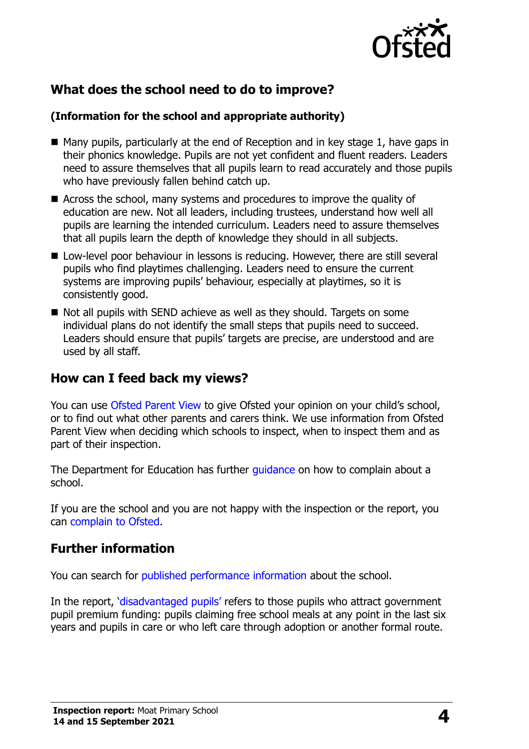

# **What does the school need to do to improve?**

#### **(Information for the school and appropriate authority)**

- $\blacksquare$  Many pupils, particularly at the end of Reception and in key stage 1, have gaps in their phonics knowledge. Pupils are not yet confident and fluent readers. Leaders need to assure themselves that all pupils learn to read accurately and those pupils who have previously fallen behind catch up.
- Across the school, many systems and procedures to improve the quality of education are new. Not all leaders, including trustees, understand how well all pupils are learning the intended curriculum. Leaders need to assure themselves that all pupils learn the depth of knowledge they should in all subjects.
- Low-level poor behaviour in lessons is reducing. However, there are still several pupils who find playtimes challenging. Leaders need to ensure the current systems are improving pupils' behaviour, especially at playtimes, so it is consistently good.
- $\blacksquare$  Not all pupils with SEND achieve as well as they should. Targets on some individual plans do not identify the small steps that pupils need to succeed. Leaders should ensure that pupils' targets are precise, are understood and are used by all staff.

## **How can I feed back my views?**

You can use [Ofsted Parent View](http://parentview.ofsted.gov.uk/) to give Ofsted your opinion on your child's school, or to find out what other parents and carers think. We use information from Ofsted Parent View when deciding which schools to inspect, when to inspect them and as part of their inspection.

The Department for Education has further quidance on how to complain about a school.

If you are the school and you are not happy with the inspection or the report, you can [complain to Ofsted.](http://www.gov.uk/complain-ofsted-report)

### **Further information**

You can search for [published performance information](http://www.compare-school-performance.service.gov.uk/) about the school.

In the report, '[disadvantaged pupils](http://www.gov.uk/guidance/pupil-premium-information-for-schools-and-alternative-provision-settings)' refers to those pupils who attract government pupil premium funding: pupils claiming free school meals at any point in the last six years and pupils in care or who left care through adoption or another formal route.

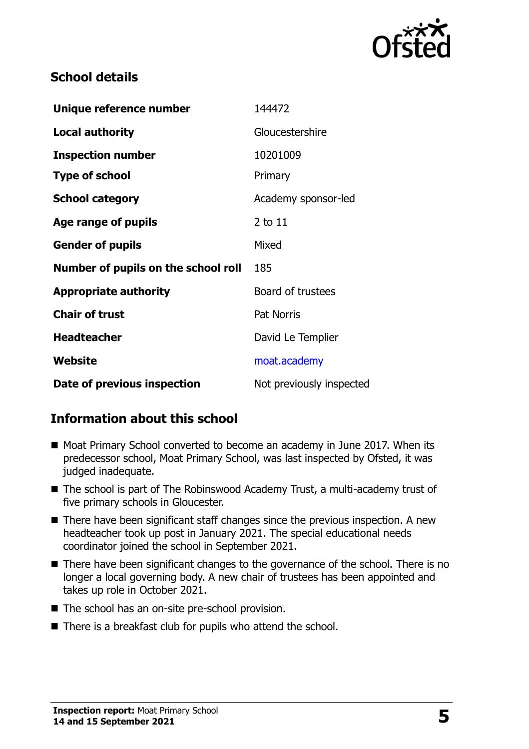

# **School details**

| Unique reference number             | 144472                   |
|-------------------------------------|--------------------------|
| <b>Local authority</b>              | Gloucestershire          |
| <b>Inspection number</b>            | 10201009                 |
| <b>Type of school</b>               | Primary                  |
| <b>School category</b>              | Academy sponsor-led      |
| Age range of pupils                 | $2$ to $11$              |
| <b>Gender of pupils</b>             | Mixed                    |
| Number of pupils on the school roll | 185                      |
| <b>Appropriate authority</b>        | Board of trustees        |
| <b>Chair of trust</b>               | <b>Pat Norris</b>        |
| <b>Headteacher</b>                  | David Le Templier        |
| Website                             | moat.academy             |
| Date of previous inspection         | Not previously inspected |

# **Information about this school**

- Moat Primary School converted to become an academy in June 2017. When its predecessor school, Moat Primary School, was last inspected by Ofsted, it was judged inadequate.
- The school is part of The Robinswood Academy Trust, a multi-academy trust of five primary schools in Gloucester.
- $\blacksquare$  There have been significant staff changes since the previous inspection. A new headteacher took up post in January 2021. The special educational needs coordinator joined the school in September 2021.
- There have been significant changes to the governance of the school. There is no longer a local governing body. A new chair of trustees has been appointed and takes up role in October 2021.
- The school has an on-site pre-school provision.
- There is a breakfast club for pupils who attend the school.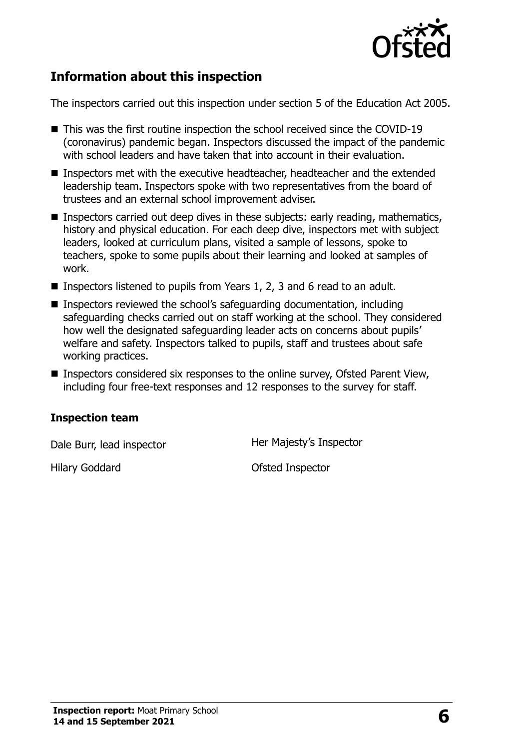

# **Information about this inspection**

The inspectors carried out this inspection under section 5 of the Education Act 2005.

- This was the first routine inspection the school received since the COVID-19 (coronavirus) pandemic began. Inspectors discussed the impact of the pandemic with school leaders and have taken that into account in their evaluation.
- Inspectors met with the executive headteacher, headteacher and the extended leadership team. Inspectors spoke with two representatives from the board of trustees and an external school improvement adviser.
- **Inspectors carried out deep dives in these subjects: early reading, mathematics,** history and physical education. For each deep dive, inspectors met with subject leaders, looked at curriculum plans, visited a sample of lessons, spoke to teachers, spoke to some pupils about their learning and looked at samples of work.
- **Inspectors listened to pupils from Years 1, 2, 3 and 6 read to an adult.**
- Inspectors reviewed the school's safeguarding documentation, including safeguarding checks carried out on staff working at the school. They considered how well the designated safeguarding leader acts on concerns about pupils' welfare and safety. Inspectors talked to pupils, staff and trustees about safe working practices.
- Inspectors considered six responses to the online survey, Ofsted Parent View, including four free-text responses and 12 responses to the survey for staff.

#### **Inspection team**

Dale Burr, lead inspector **Her Majesty's Inspector** 

Hilary Goddard **Ofsted Inspector**